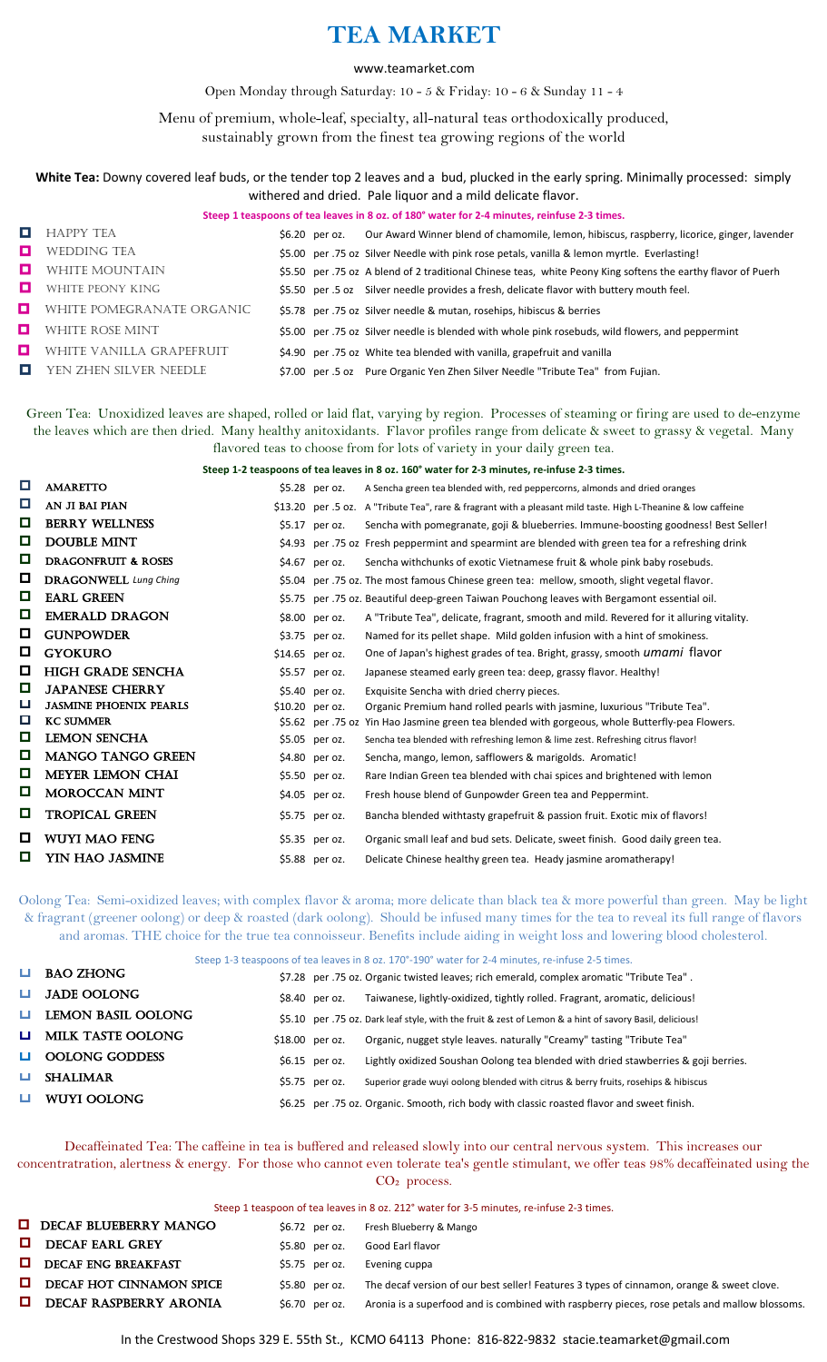## **TEA MARKET**

## www.teamarket.com

Open Monday through Saturday: 10 - 5 & Friday: 10 - 6 & Sunday 11 - 4

Menu of premium, whole-leaf, specialty, all-natural teas orthodoxically produced, sustainably grown from the finest tea growing regions of the world

**White Tea:** Downy covered leaf buds, or the tender top 2 leaves and a bud, plucked in the early spring. Minimally processed: simply withered and dried. Pale liquor and a mild delicate flavor.

|    | Steep 1 teaspoons of tea leaves in 8 oz. of 180° water for 2-4 minutes, reinfuse 2-3 times. |  |                |                                                                                                              |  |
|----|---------------------------------------------------------------------------------------------|--|----------------|--------------------------------------------------------------------------------------------------------------|--|
| D. | <b>HAPPY TEA</b>                                                                            |  | \$6.20 per oz. | Our Award Winner blend of chamomile, lemon, hibiscus, raspberry, licorice, ginger, lavender                  |  |
| o. | <b>WEDDING TEA</b>                                                                          |  |                | \$5.00 per .75 oz Silver Needle with pink rose petals, vanilla & lemon myrtle. Everlasting!                  |  |
| О. | <b>WHITE MOUNTAIN</b>                                                                       |  |                | \$5.50 per .75 oz A blend of 2 traditional Chinese teas, white Peony King softens the earthy flavor of Puerh |  |
| о  | <b>WHITE PEONY KING</b>                                                                     |  |                | \$5.50 per .5 oz Silver needle provides a fresh, delicate flavor with buttery mouth feel.                    |  |
|    | <b>U</b> WHITE POMEGRANATE ORGANIC                                                          |  |                | \$5.78 per .75 oz Silver needle & mutan, rosehips, hibiscus & berries                                        |  |
|    | WHITE ROSE MINT                                                                             |  |                | \$5.00 per .75 oz Silver needle is blended with whole pink rosebuds, wild flowers, and peppermint            |  |
| o  | WHITE VANILLA GRAPEFRUIT                                                                    |  |                | \$4.90 per .75 oz White tea blended with vanilla, grapefruit and vanilla                                     |  |
| O  | YEN ZHEN SILVER NEEDLE                                                                      |  |                | \$7.00 per .5 oz Pure Organic Yen Zhen Silver Needle "Tribute Tea" from Fujian.                              |  |

Green Tea: Unoxidized leaves are shaped, rolled or laid flat, varying by region. Processes of steaming or firing are used to de-enzyme the leaves which are then dried. Many healthy anitoxidants. Flavor profiles range from delicate & sweet to grassy & vegetal. Many flavored teas to choose from for lots of variety in your daily green tea.

**Steep 1-2 teaspoons of tea leaves in 8 oz. 160° water for 2-3 minutes, re-infuse 2-3 times.**

| <b>AMARETTO</b>                |  | A Sencha green tea blended with, red peppercorns, almonds and dried oranges                                                                                                                                                                                                                        |
|--------------------------------|--|----------------------------------------------------------------------------------------------------------------------------------------------------------------------------------------------------------------------------------------------------------------------------------------------------|
| AN JI BAI PIAN                 |  | \$13.20 per .5 oz. A "Tribute Tea", rare & fragrant with a pleasant mild taste. High L-Theanine & low caffeine                                                                                                                                                                                     |
| <b>BERRY WELLNESS</b>          |  | Sencha with pomegranate, goji & blueberries. Immune-boosting goodness! Best Seller!                                                                                                                                                                                                                |
| <b>DOUBLE MINT</b>             |  | \$4.93 per .75 oz Fresh peppermint and spearmint are blended with green tea for a refreshing drink                                                                                                                                                                                                 |
| <b>DRAGONFRUIT &amp; ROSES</b> |  | Sencha withchunks of exotic Vietnamese fruit & whole pink baby rosebuds.                                                                                                                                                                                                                           |
| <b>DRAGONWELL</b> Lung Ching   |  | \$5.04 per .75 oz. The most famous Chinese green tea: mellow, smooth, slight vegetal flavor.                                                                                                                                                                                                       |
| <b>EARL GREEN</b>              |  | \$5.75 per .75 oz. Beautiful deep-green Taiwan Pouchong leaves with Bergamont essential oil.                                                                                                                                                                                                       |
| <b>EMERALD DRAGON</b>          |  | A "Tribute Tea", delicate, fragrant, smooth and mild. Revered for it alluring vitality.                                                                                                                                                                                                            |
| <b>GUNPOWDER</b>               |  | Named for its pellet shape. Mild golden infusion with a hint of smokiness.                                                                                                                                                                                                                         |
| <b>GYOKURO</b>                 |  | One of Japan's highest grades of tea. Bright, grassy, smooth <i>umami</i> flavor                                                                                                                                                                                                                   |
| <b>HIGH GRADE SENCHA</b>       |  | Japanese steamed early green tea: deep, grassy flavor. Healthy!                                                                                                                                                                                                                                    |
| <b>JAPANESE CHERRY</b>         |  | Exquisite Sencha with dried cherry pieces.                                                                                                                                                                                                                                                         |
| <b>JASMINE PHOENIX PEARLS</b>  |  | Organic Premium hand rolled pearls with jasmine, luxurious "Tribute Tea".                                                                                                                                                                                                                          |
| <b>KC SUMMER</b>               |  | \$5.62 per .75 oz Yin Hao Jasmine green tea blended with gorgeous, whole Butterfly-pea Flowers.                                                                                                                                                                                                    |
| <b>LEMON SENCHA</b>            |  | Sencha tea blended with refreshing lemon & lime zest. Refreshing citrus flavor!                                                                                                                                                                                                                    |
| <b>MANGO TANGO GREEN</b>       |  | Sencha, mango, lemon, safflowers & marigolds. Aromatic!                                                                                                                                                                                                                                            |
| <b>MEYER LEMON CHAI</b>        |  | Rare Indian Green tea blended with chai spices and brightened with lemon                                                                                                                                                                                                                           |
| <b>MOROCCAN MINT</b>           |  | Fresh house blend of Gunpowder Green tea and Peppermint.                                                                                                                                                                                                                                           |
| <b>TROPICAL GREEN</b>          |  | Bancha blended withtasty grapefruit & passion fruit. Exotic mix of flavors!                                                                                                                                                                                                                        |
| WUYI MAO FENG                  |  | Organic small leaf and bud sets. Delicate, sweet finish. Good daily green tea.                                                                                                                                                                                                                     |
| YIN HAO JASMINE                |  | Delicate Chinese healthy green tea. Heady jasmine aromatherapy!                                                                                                                                                                                                                                    |
|                                |  | $$5.28$ per oz.<br>$$5.17$ per oz.<br>$$4.67$ per oz.<br>\$8.00 per oz.<br>\$3.75 per oz.<br>\$14.65 per oz.<br>\$5.57 per oz.<br>$$5.40$ per oz.<br>\$10.20 per oz.<br>\$5.05 per oz.<br>\$4.80 per oz.<br>\$5.50 per oz.<br>\$4.05 per oz.<br>\$5.75 per oz.<br>\$5.35 per oz.<br>\$5.88 per oz. |

Oolong Tea: Semi-oxidized leaves; with complex flavor & aroma; more delicate than black tea & more powerful than green. May be light & fragrant (greener oolong) or deep & roasted (dark oolong). Should be infused many times for the tea to reveal its full range of flavors and aromas. THE choice for the true tea connoisseur. Benefits include aiding in weight loss and lowering blood cholesterol.

Steep 1-3 teaspoons of tea leaves in 8 oz. 170°-190° water for 2-4 minutes, re-infuse 2-5 times.

| $\Box$       | <b>BAO ZHONG</b>         |                  | \$7.28 per .75 oz. Organic twisted leaves; rich emerald, complex aromatic "Tribute Tea".                |
|--------------|--------------------------|------------------|---------------------------------------------------------------------------------------------------------|
| <b>LI</b>    | <b>JADE OOLONG</b>       | $$8.40$ per oz.  | Taiwanese, lightly-oxidized, tightly rolled. Fragrant, aromatic, delicious!                             |
| <b>Latin</b> | LEMON BASIL OOLONG       |                  | \$5.10 per .75 oz. Dark leaf style, with the fruit & zest of Lemon & a hint of savory Basil, delicious! |
| <b>LI</b>    | <b>MILK TASTE OOLONG</b> | $$18.00$ per oz. | Organic, nugget style leaves, naturally "Creamy" tasting "Tribute Tea"                                  |
|              | $\Box$ OOLONG GODDESS    | $$6.15$ per oz.  | Lightly oxidized Soushan Oolong tea blended with dried stawberries & goji berries.                      |
| ш            | <b>SHALIMAR</b>          | \$5.75 per oz.   | Superior grade wuyi oolong blended with citrus & berry fruits, rosehips & hibiscus                      |
|              | WUYI OOLONG              |                  | \$6.25 per .75 oz. Organic. Smooth, rich body with classic roasted flavor and sweet finish.             |
|              |                          |                  |                                                                                                         |

Decaffeinated Tea: The caffeine in tea is buffered and released slowly into our central nervous system. This increases our concentratration, alertness & energy. For those who cannot even tolerate tea's gentle stimulant, we offer teas 98% decaffeinated using the ess.

|  | proce |
|--|-------|
|--|-------|

| Steep 1 teaspoon of tea leaves in 8 oz. 212° water for 3-5 minutes, re-infuse 2-3 times. |                 |                                                                                               |  |  |  |
|------------------------------------------------------------------------------------------|-----------------|-----------------------------------------------------------------------------------------------|--|--|--|
| <b>DECAF BLUEBERRY MANGO</b>                                                             | \$6.72 per oz.  | Fresh Blueberry & Mango                                                                       |  |  |  |
| <b>DECAF EARL GREY</b>                                                                   | \$5.80 per oz.  | Good Earl flavor                                                                              |  |  |  |
| $\Box$ DECAF ENG BREAKFAST                                                               | $$5.75$ per oz. | Evening cuppa                                                                                 |  |  |  |
| DECAF HOT CINNAMON SPICE                                                                 | \$5.80 per oz.  | The decaf version of our best seller! Features 3 types of cinnamon, orange & sweet clove.     |  |  |  |
| DECAF RASPBERRY ARONIA                                                                   | \$6.70 per oz.  | Aronia is a superfood and is combined with raspberry pieces, rose petals and mallow blossoms. |  |  |  |

In the Crestwood Shops 329 E. 55th St., KCMO 64113 Phone: 816-822-9832 stacie.teamarket@gmail.com